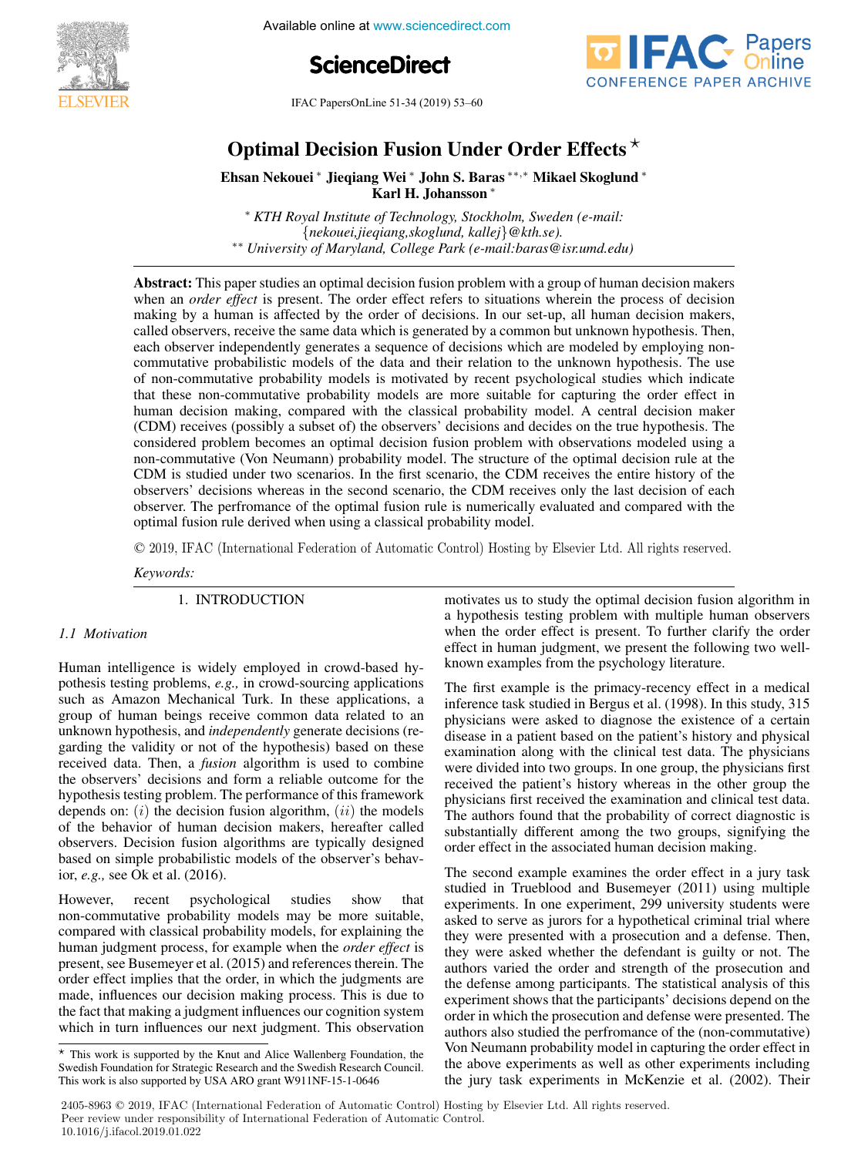

**2000 2nd IFAC Conference on Cyber-Physical Available online at www.sciencedirect.com** 





IFAC PapersOnLine 51-34 (2019) 53–60 Optimal Decision Fusion Under Order Effects

# Optimal Decision Fusion Under Order Effects Optimal Decision Fusion Under Order Effects  $\star$ Ehennen Deelston ∗ Wston Chuer ∨ruer Ehreeks Optimal Decision Fusion Under Order Effects  $^\star$

E<br>Ehsan Nekole → Die verstelling verstelling is a Ehsan Nekouei \* Jieqiang Wei \* John S. Baras \*\*,\* Mikael Skoglund \* Karl H. Johansson ∗ Karl H. Johansson∗ Karl H. Johansson∗ Ehsan Nekouei<sup>∗</sup> Jieqiang Wei<sup>∗</sup> John S. Baras∗∗,<sup>∗</sup> Mikael Skoglund<sup>∗</sup> Ehsan Nekouei <sup>∗</sup> Jieqiang Wei <sup>∗</sup> John S. Baras ∗∗,<sup>∗</sup> Mikael Skoglund <sup>∗</sup>

<sup>∗</sup> *KTH Royal Institute of Technology, Stockholm, Sweden (e-mail:* <sup>∗</sup> *KTH Royal Institute of Technology, Stockholm, Sweden (e-mail:* Karl H. Johansson ∗ {nekouei,jieqiang,skoglund, kallej}@kth.se).<br>\*\* University of Maryland, College Park (e-mail:baras@isr.umd.edu) <sup>∗</sup> *KTH Royal Institute of Technology, Stockholm, Sweden (e-mail:* <sup>∗</sup> *KTH Royal Institute of Technology, Stockholm, Sweden (e-mail:*<sup>∗</sup> *KTH Royal Institute of Technology, Stockholm, Sweden (e-mail:* {nekouei,jieqiang,skoglund, kallej}@kth.se).<br>\*\* University of Maryland, College Park (e-mail:baras@isr.umd.edu)

Abstract: This paper studies an optimal decision fusion problem with a group of human decision makers Abstract: This paper studies an optimal decision fusion problem with a group of human decision makers **Abstract:** This paper studies an optimal decision fusion problem with a group of numan decision makers<br>when an *order effect* is present. The order effect refers to situations wherein the process of decision<br>making by a h making by a human is affected by the order of decisions. In our set-up, all human decision makers, called observers, receive the same data which is generated by a common but unknown hypothesis. Then, each observers, receive the same data which is generated by a common out antiboxity hypothesis. Then, commutative probabilistic models of the data and their relation to the unknown hypothesis. The use of non-commutative probability models is motivated by recent psychological studies which indicate that these non-commutative probability models are more suitable for capturing the order effect in human decision making, compared with the classical probability model. A central decision maker (CDM) receives (possibly a subset of) the observers' decisions and decides on the true hypothesis. The considered problem becomes an optimal decision fusion problem with observations modeled using a non-commutative (Von Neumann) probability model. The structure of the optimal decision rule at the CDM is studied under two scenarios. In the first scenario, the CDM receives the entire history of the observers' decisions whereas in the second scenario, the CDM receives only the last decision of each observer. The perfromance of the optimal fusion rule is numerically evaluated and compared with the optimal fusion rule derived when using a classical probability model. of non-commutative probability models is motivated by recent psychological studies which indicate<br>that these non-commutative probability models are more suitable for capturing the order effect in<br>human decision making, com observer. The perfromance of the optimal fusion rule is numerically evaluated and compared with the

© 2019, IFAC (International Federation of Automatic Control) Hosting by Elsevier Ltd. All rights reserved.  $\sim$   $\sim$   $\sim$   $\sim$ © 2019, IFAC (International Federation of Automatic Control) Hosting

*Keywords: Keywords: Keywords: Keywords: Keywords:*

1. INTRODUCTION 1. INTRODUCTION 1. INTRODUCTION 1. INTRODUCTION

### *1.1 Motivation 1.1 Motivation 1.1 Motivation*

Human intelligence is widely employed in crowd-based hy-Human intelligence is widely employed in crowd-based hy-Human intelligence is widely employed in crowd-based hypothesis testing problems, e.g., in crowd-sourcing applications such as Amazon Mechanical Turk. In these applications, a such as Amazon Mechanical Turk. In these applications, a<br>group of human beings receive common data related to an<br>unknown hypothesis, and *independently* generate decisions (re-<br>garding the validity or not of the hypothesis unknown hypothesis, and *independently* generate decisions (regarding the validity or not of the hypothesis) based on these garding the validity or not of the hypothesis) based on these<br>received data. Then, a *fusion* algorithm is used to combine the observers' decisions and form a reliable outcome for the hypothesis testing problem. The performance of this framework depends on:  $(i)$  the decision fusion algorithm,  $(ii)$  the models of the behavior of human decision makers, hereafter called observers. Decision fusion algorithms are typically designed based on simple probabilistic models of the observer's behavbased on simple probabilistic models of the observer's behavior, *e.g.*, see Ok et al. (2016). ior, *e.g.,* see Ok et al. (2016). ior,  $e.g.,$  see Ok et al.  $(2016).$ received data. Then, a *fusion* algorithm is used to combine<br>the observers' decisions and form a reliable outcome for the<br>hypothesis testing problem. The performance of this framework<br>depends on: (*i*) the decision fusion *1.1 Motivation* receiver a *fusions* and form a rename outcome for the

However, recent psychological studies show that non-commutative probability models may be more suitable, compared with classical probability models, for explaining the human judgment process, for example when the *order effect* is<br>present see Busemever et al. (2015) and references therein. The present, see Busemeyer et al. (2015) and references therein. The order effect implies that the order, in which the judgments are order effect implies that the order, in which the judgments are<br>made, influences our decision making process. This is due to<br>the fact that making a judgment influences our cognition system the fact that making a judgment influences our cognition system are the fact that making a judgment influences our explanation system which in turn influences our next judgment. This observation which in turn influences our next judgment. This observation which in turn influences our next judgment. This observation which in turn influences our next judgment. This observation systems motivates us to study the optimal decision fusion algorithm in motivates us to study the optimal decision fusion algorithm in motivates us to study the optimal decision fusion algorithm in a hypothesis testing problem with multiple human observers when the order effect is present. To further clarify the order effect in human judgment, we present the following two welleffect in human judgment, we present the extremal general term. known examples from the psychology literature. known examples from the psychology literature.

The first example is the primacy-recency effect in a medical The first example is the primacy-recency effect in a medical The first example is the primacy-recency effect in a medical inference task studied in Bergus et al. (1998). In this study, 315 physicians were asked to diagnose the existence of a certain<br>disease in a patient based on the patient's history and physical disease in a patient based on the patient's history and physical examination along with the clinical test data. The physicians were divided into two groups. In one group, the physicians first received the patient's history whereas in the other group the physicians first received the examination and clinical test data. The authors found that the probability of correct diagnostic is substantially different among the two groups, signifying the substantially different almost give two groups, signifying the order effect in the associated human decision making. order effect in the associated human decision making. order effect in the associated human decision making. examination along with the clinical test data. The physicians<br>were divided into two groups. In one group, the physicians first<br>received the patient's history whereas in the other group the<br>physicians first received the exa The first example is the primacy-recency effect received the patient's history whereas in the other group the physicians first received the examination and clinical test data.<br>The authors found that the probability of correct diagnostic is<br>substantially different among the two groups, signifying the<br>order effect in the associated

The second example examines the order effect in a jury task The second example examines the order effect in a jury task studied in Trueblood and Busemeyer (2011) using multiple experiments. In one experiment, 299 university students were asked to serve as jurors for a hypothetical criminal trial where they were presented with a prosecution and a defense. Then, they were asked whether the defendant is guilty or not. The authors varied the order and strength of the prosecution and the defense among participants. The statistical analysis of this experiment shows that the participants' decisions depend on the order in which the prosecution and defense were presented. The authors also studied the performance of the (non-commutative) Von Neumann probability model in capturing the order effect in the above experiments as well as other experiments including<br>the jury task experiments in McKenzie et al. (2002). Their the jury task experiments in McKenzie et al. (2002). Their the jury task experiments in McKenzie et al. (2002). Their the jury task experiments in McKenzie et al. (2002). Their The second example examines the order effect in a

2405-8963 © 2019, IFAC (International Federation of Automatic Control) Hosting by Elsevier Ltd. All rights reserved. Peer review under responsibility of International Federation of Automatic Control.<br>
Peer review under responsibility of International Federation of Automatic Control. 10.1016/j.ifacol.2019.01.022 **Copyright ©2018 IFAC 53**This work is also supported by USA ARO grant W911NF-15-1-0646

 $\overline{\star}$  This work is supported by the Knut and Alice Wallenberg Foundation, the Swedish Foundation for Strategic Research and the Swedish Research Council. This work is also supported by USA ARO grant W911NF-15-1-0646 This work is also supported by USA ARO grant W911NF-15-1-0646 Swedish Foundation for Strategic Research and the Swedish Research Council.<br>This work is also supported by USA ARO grant W911NF-15-1-0646 Swedish Foundation for Strategic Research and the Swedish Research Council.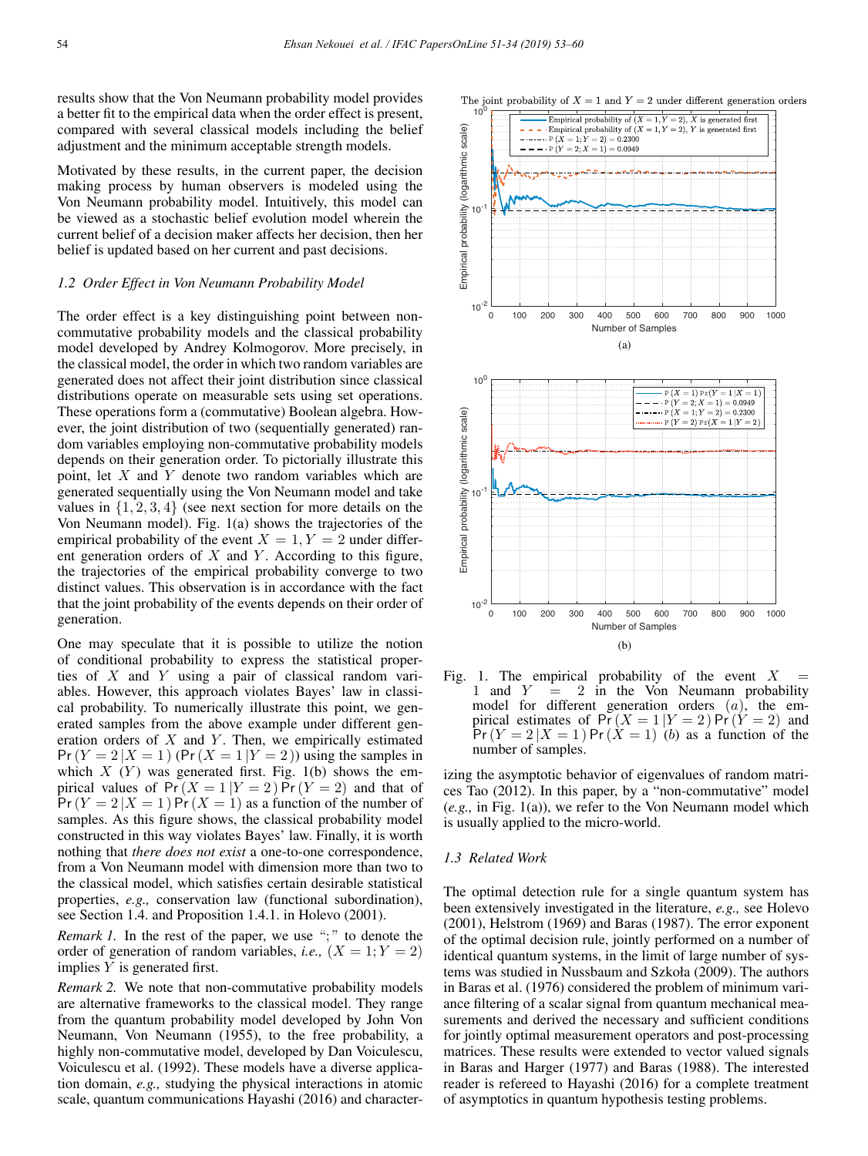(logarithmic scale)

results show that the Von Neumann probability model provides a better fit to the empirical data when the order effect is present, compared with several classical models including the belief adjustment and the minimum acceptable strength models.

Motivated by these results, in the current paper, the decision making process by human observers is modeled using the Von Neumann probability model. Intuitively, this model can be viewed as a stochastic belief evolution model wherein the current belief of a decision maker affects her decision, then her belief is updated based on her current and past decisions.

#### *1.2 Order Effect in Von Neumann Probability Model*

The order effect is a key distinguishing point between noncommutative probability models and the classical probability model developed by Andrey Kolmogorov. More precisely, in the classical model, the order in which two random variables are generated does not affect their joint distribution since classical distributions operate on measurable sets using set operations. These operations form a (commutative) Boolean algebra. However, the joint distribution of two (sequentially generated) random variables employing non-commutative probability models depends on their generation order. To pictorially illustrate this point, let  $X$  and  $Y$  denote two random variables which are generated sequentially using the Von Neumann model and take values in  $\{1, 2, 3, 4\}$  (see next section for more details on the Von Neumann model). Fig. 1(a) shows the trajectories of the empirical probability of the event  $X = 1, Y = 2$  under different generation orders of  $X$  and  $Y$ . According to this figure, the trajectories of the empirical probability converge to two distinct values. This observation is in accordance with the fact that the joint probability of the events depends on their order of generation.

One may speculate that it is possible to utilize the notion of conditional probability to express the statistical properties of X and Y using a pair of classical random variables. However, this approach violates Bayes' law in classical probability. To numerically illustrate this point, we generated samples from the above example under different generation orders of  $X$  and  $Y$ . Then, we empirically estimated  $Pr(Y = 2 | X = 1)$  (Pr  $(X = 1 | Y = 2)$ ) using the samples in which  $X(Y)$  was generated first. Fig. 1(b) shows the empirical values of  $Pr(X = 1 | Y = 2)$   $Pr(Y = 2)$  and that of  $Pr(Y = 2 | X = 1)$  Pr $(X = 1)$  as a function of the number of samples. As this figure shows, the classical probability model constructed in this way violates Bayes' law. Finally, it is worth nothing that *there does not exist* a one-to-one correspondence, from a Von Neumann model with dimension more than two to the classical model, which satisfies certain desirable statistical properties, *e.g.,* conservation law (functional subordination), see Section 1.4. and Proposition 1.4.1. in Holevo (2001).

*Remark 1.* In the rest of the paper, we use ";" to denote the order of generation of random variables, *i.e.*,  $(X = 1; Y = 2)$ implies  $Y$  is generated first.

*Remark 2.* We note that non-commutative probability models are alternative frameworks to the classical model. They range from the quantum probability model developed by John Von Neumann, Von Neumann (1955), to the free probability, a highly non-commutative model, developed by Dan Voiculescu, Voiculescu et al. (1992). These models have a diverse application domain, *e.g.,* studying the physical interactions in atomic scale, quantum communications Hayashi (2016) and character-



The joint probability of  $X = 1$  and  $Y = 2$  under different generation orders

Empirical probability of  $(X = 1, Y = 2)$ , X is generated first<br> $- - - \cdot$ Empirical probability of  $(X = 1, Y = 2)$ , Y is generated first

 $-\cdots P(X)$ 

 $\cdot$  P  $(Y = 2; X = 1) = 0.0949$ 

 $= 1; Y = 2) = 0.2300$ 

Fig. 1. The empirical probability of the event X 1 and  $Y = 2$  in the Von Neumann probal 2 in the Von Neumann probability model for different generation orders (a), the empirical estimates of  $\Pr(X = 1 | Y = 2) \Pr(Y = 2)$  and  $Pr(Y = 2 | X = 1) Pr(X = 1)$  (b) as a function of the number of samples.

izing the asymptotic behavior of eigenvalues of random matrices Tao (2012). In this paper, by a "non-commutative" model (*e.g.,* in Fig. 1(a)), we refer to the Von Neumann model which is usually applied to the micro-world.

### *1.3 Related Work*

The optimal detection rule for a single quantum system has been extensively investigated in the literature, *e.g.,* see Holevo (2001), Helstrom (1969) and Baras (1987). The error exponent of the optimal decision rule, jointly performed on a number of identical quantum systems, in the limit of large number of systems was studied in Nussbaum and Szkoła (2009). The authors in Baras et al. (1976) considered the problem of minimum variance filtering of a scalar signal from quantum mechanical measurements and derived the necessary and sufficient conditions for jointly optimal measurement operators and post-processing matrices. These results were extended to vector valued signals in Baras and Harger (1977) and Baras (1988). The interested reader is refereed to Hayashi (2016) for a complete treatment of asymptotics in quantum hypothesis testing problems.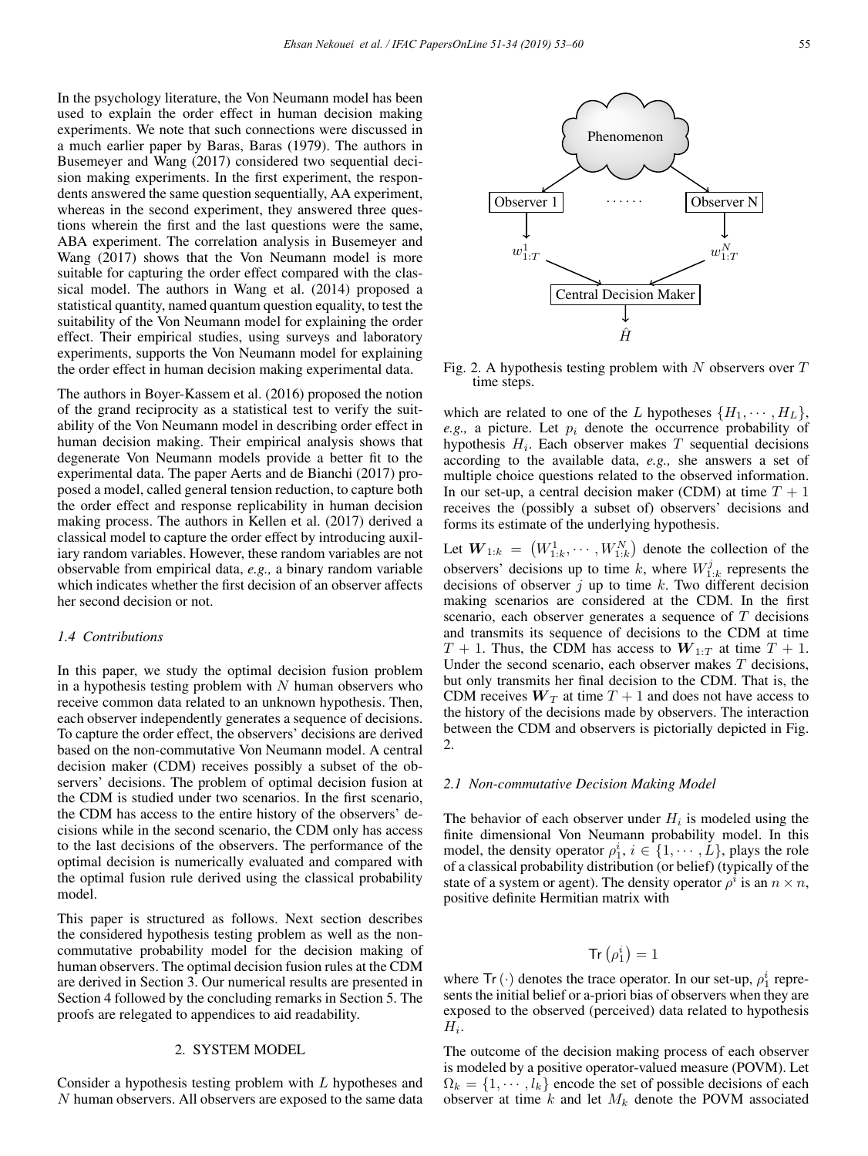In the psychology literature, the Von Neumann model has been used to explain the order effect in human decision making experiments. We note that such connections were discussed in a much earlier paper by Baras, Baras (1979). The authors in Busemeyer and Wang (2017) considered two sequential decision making experiments. In the first experiment, the respondents answered the same question sequentially, AA experiment, whereas in the second experiment, they answered three questions wherein the first and the last questions were the same, ABA experiment. The correlation analysis in Busemeyer and Wang (2017) shows that the Von Neumann model is more suitable for capturing the order effect compared with the classical model. The authors in Wang et al. (2014) proposed a statistical quantity, named quantum question equality, to test the suitability of the Von Neumann model for explaining the order effect. Their empirical studies, using surveys and laboratory experiments, supports the Von Neumann model for explaining the order effect in human decision making experimental data.

The authors in Boyer-Kassem et al. (2016) proposed the notion of the grand reciprocity as a statistical test to verify the suitability of the Von Neumann model in describing order effect in human decision making. Their empirical analysis shows that degenerate Von Neumann models provide a better fit to the experimental data. The paper Aerts and de Bianchi (2017) proposed a model, called general tension reduction, to capture both the order effect and response replicability in human decision making process. The authors in Kellen et al. (2017) derived a classical model to capture the order effect by introducing auxiliary random variables. However, these random variables are not observable from empirical data, *e.g.,* a binary random variable which indicates whether the first decision of an observer affects her second decision or not.

# *1.4 Contributions*

In this paper, we study the optimal decision fusion problem in a hypothesis testing problem with  $N$  human observers who receive common data related to an unknown hypothesis. Then, each observer independently generates a sequence of decisions. To capture the order effect, the observers' decisions are derived based on the non-commutative Von Neumann model. A central decision maker (CDM) receives possibly a subset of the observers' decisions. The problem of optimal decision fusion at the CDM is studied under two scenarios. In the first scenario, the CDM has access to the entire history of the observers' decisions while in the second scenario, the CDM only has access to the last decisions of the observers. The performance of the optimal decision is numerically evaluated and compared with the optimal fusion rule derived using the classical probability model.

This paper is structured as follows. Next section describes the considered hypothesis testing problem as well as the noncommutative probability model for the decision making of human observers. The optimal decision fusion rules at the CDM are derived in Section 3. Our numerical results are presented in Section 4 followed by the concluding remarks in Section 5. The proofs are relegated to appendices to aid readability.

### 2. SYSTEM MODEL

Consider a hypothesis testing problem with L hypotheses and N human observers. All observers are exposed to the same data



Fig. 2. A hypothesis testing problem with  $N$  observers over  $T$ time steps.

which are related to one of the L hypotheses  $\{H_1, \dots, H_L\}$ , *e.g.*, a picture. Let  $p_i$  denote the occurrence probability of hypothesis  $H_i$ . Each observer makes T sequential decisions according to the available data, *e.g.,* she answers a set of multiple choice questions related to the observed information. In our set-up, a central decision maker (CDM) at time  $T + 1$ receives the (possibly a subset of) observers' decisions and forms its estimate of the underlying hypothesis.

Let  $W_{1:k} = (W_{1:k}^1, \cdots, W_{1:k}^N)$  denote the collection of the observers' decisions up to time k, where  $W_{1:k}^j$  represents the decisions of observer  $i$  up to time k. Two different decision making scenarios are considered at the CDM. In the first scenario, each observer generates a sequence of T decisions and transmits its sequence of decisions to the CDM at time  $T + 1$ . Thus, the CDM has access to  $W_{1:T}$  at time  $T + 1$ . Under the second scenario, each observer makes  $T$  decisions, but only transmits her final decision to the CDM. That is, the CDM receives  $W_T$  at time  $T + 1$  and does not have access to the history of the decisions made by observers. The interaction between the CDM and observers is pictorially depicted in Fig. 2.

#### *2.1 Non-commutative Decision Making Model*

The behavior of each observer under  $H_i$  is modeled using the finite dimensional Von Neumann probability model. In this model, the density operator  $\rho_1^i$ ,  $i \in \{1, \dots, L\}$ , plays the role of a classical probability distribution (or belief) (typically of the state of a system or agent). The density operator  $\rho^i$  is an  $n \times n$ , positive definite Hermitian matrix with

$$
\mathrm{Tr}\left(\rho_{1}^{i}\right)=1
$$

where  $Tr(\cdot)$  denotes the trace operator. In our set-up,  $\rho_1^i$  represents the initial belief or a-priori bias of observers when they are exposed to the observed (perceived) data related to hypothesis  $H_i$ .

The outcome of the decision making process of each observer is modeled by a positive operator-valued measure (POVM). Let  $\Omega_k = \{1, \dots, l_k\}$  encode the set of possible decisions of each observer at time  $k$  and let  $M_k$  denote the POVM associated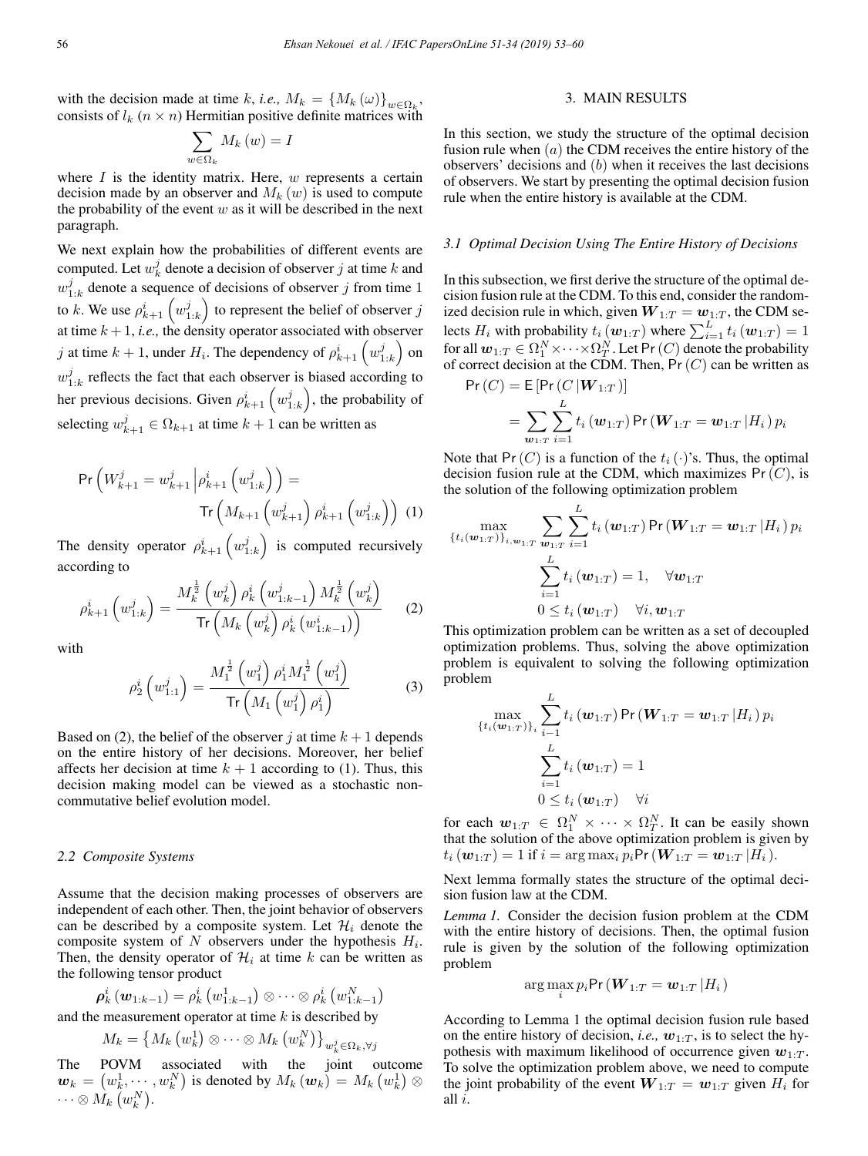$56$ 

with the decision made at time k, *i.e.*,  $M_k = \{M_k(\omega)\}_{\omega \in \Omega_k}$ , consists of  $l_k$  ( $n \times n$ ) Hermitian positive definite matrices with

$$
\sum_{w\in\Omega_k}M_k\left(w\right)=I
$$

where  $I$  is the identity matrix. Here,  $w$  represents a certain decision made by an observer and  $M_k(w)$  is used to compute the probability of the event  $w$  as it will be described in the next paragraph.

We next explain how the probabilities of different events are computed. Let  $w_k^j$  denote a decision of observer j at time k and  $w_{1:k}^j$  denote a sequence of decisions of observer j from time 1 to k. We use  $\rho_{k+1}^i \left( w_{1:k}^j \right)$  to represent the belief of observer j at time  $k + 1$ , *i.e.*, the density operator associated with observer j at time  $k + 1$ , under  $H_i$ . The dependency of  $\rho_{k+1}^i \left( w_{1:k}^j \right)$  on  $w_{1:k}^j$  reflects the fact that each observer is biased according to her previous decisions. Given  $\rho_{k+1}^i \left( w_{1:k}^j \right)$ , the probability of selecting  $w_{k+1}^j \in \Omega_{k+1}$  at time  $k+1$  can be written as

$$
\Pr\left(W_{k+1}^j = w_{k+1}^j \left| \rho_{k+1}^i \left( w_{1:k}^j \right) \right. \right) = \frac{\text{Tr}\left(M_{k+1} \left(w_{k+1}^j \right) \rho_{k+1}^i \left(w_{1:k}^j \right) \right) (1)}
$$

The density operator  $\rho_{k+1}^i \left( w_{1:k}^j \right)$  is computed recursively according to

$$
\rho_{k+1}^{i}\left(w_{1:k}^{j}\right) = \frac{M_{k}^{\frac{1}{2}}\left(w_{k}^{j}\right)\rho_{k}^{i}\left(w_{1:k-1}^{j}\right)M_{k}^{\frac{1}{2}}\left(w_{k}^{j}\right)}{\text{Tr}\left(M_{k}\left(w_{k}^{j}\right)\rho_{k}^{i}\left(w_{1:k-1}^{i}\right)\right)}\tag{2}
$$

with

$$
\rho_2^i \left( w_{1:1}^j \right) = \frac{M_1^{\frac{1}{2}} \left( w_1^j \right) \rho_1^i M_1^{\frac{1}{2}} \left( w_1^j \right)}{\text{Tr} \left( M_1 \left( w_1^j \right) \rho_1^i \right)} \tag{3}
$$

Based on (2), the belief of the observer j at time  $k + 1$  depends on the entire history of her decisions. Moreover, her belief affects her decision at time  $k + 1$  according to (1). Thus, this decision making model can be viewed as a stochastic noncommutative belief evolution model.

#### *2.2 Composite Systems*

Assume that the decision making processes of observers are independent of each other. Then, the joint behavior of observers can be described by a composite system. Let  $\mathcal{H}_i$  denote the composite system of  $N$  observers under the hypothesis  $H_i$ . Then, the density operator of  $\mathcal{H}_i$  at time k can be written as the following tensor product

$$
\boldsymbol{\rho}_k^i\left(\boldsymbol{w}_{1:k-1}\right)=\rho_k^i\left(w_{1:k-1}^1\right)\otimes\cdots\otimes\rho_k^i\left(w_{1:k-1}^N\right)
$$

and the measurement operator at time  $k$  is described by

$$
M_k=\left\{M_k\left(w_k^1\right)\otimes\cdots\otimes M_k\left(w_k^N\right)\right\}_{w_k^j\in\Omega_k,\forall j}
$$

The POVM associated with the joint outcome  $\boldsymbol{w}_k = \left(w_k^1, \cdots, w_k^N\right)$  is denoted by  $M_k\left(\boldsymbol{w}_k\right) = M_k\left(w_k^1\right) \otimes$  $\cdots \otimes M_k\left( w_k^N \right)$ .

# 3. MAIN RESULTS

In this section, we study the structure of the optimal decision fusion rule when  $(a)$  the CDM receives the entire history of the observers' decisions and (b) when it receives the last decisions of observers. We start by presenting the optimal decision fusion rule when the entire history is available at the CDM.

#### *3.1 Optimal Decision Using The Entire History of Decisions*

In this subsection, we first derive the structure of the optimal decision fusion rule at the CDM. To this end, consider the randomized decision rule in which, given  $W_{1:T} = w_{1:T}$ , the CDM selects  $H_i$  with probability  $t_i(\boldsymbol{w}_{1:T})$  where  $\sum_{i=1}^{L} t_i(\boldsymbol{w}_{1:T})=1$ for all  $w_{1:T} \in \Omega_1^N \times \cdots \times \Omega_T^N$ . Let Pr  $(C)$  denote the probability of correct decision at the CDM. Then,  $Pr(C)$  can be written as

$$
Pr(C) = E[Pr(C | W_{1:T})]
$$
  
=  $\sum_{w_{1:T}} \sum_{i=1}^{L} t_i(w_{1:T}) Pr(W_{1:T} = w_{1:T} | H_i) p_i$ 

Note that Pr(C) is a function of the  $t_i(\cdot)$ 's. Thus, the optimal decision fusion rule at the CDM, which maximizes  $Pr(C)$ , is the solution of the following optimization problem

$$
\max_{\{t_i(\boldsymbol{w}_{1:T})\}_{i,\boldsymbol{w}_{1:T}}}\sum_{\boldsymbol{w}_{1:T}}\sum_{i=1}^{L}t_i\left(\boldsymbol{w}_{1:T}\right)\mathsf{Pr}\left(\boldsymbol{W}_{1:T}=\boldsymbol{w}_{1:T}\left|H_i\right.\right)p_i\\\sum_{i=1}^{L}t_i\left(\boldsymbol{w}_{1:T}\right)=1,\quad \forall \boldsymbol{w}_{1:T}\\\begin{array}{c}0\leq t_i\left(\boldsymbol{w}_{1:T}\right) \quad \forall i,\boldsymbol{w}_{1:T}\end{array}
$$

This optimization problem can be written as a set of decoupled optimization problems. Thus, solving the above optimization problem is equivalent to solving the following optimization problem

$$
\max_{\{t_i(\mathbf{w}_{1:T})\}_{i}} \sum_{i=1}^{L} t_i(\mathbf{w}_{1:T}) \Pr(\mathbf{W}_{1:T} = \mathbf{w}_{1:T} | H_i) p_i
$$
  

$$
\sum_{i=1}^{L} t_i(\mathbf{w}_{1:T}) = 1
$$
  

$$
0 \le t_i(\mathbf{w}_{1:T}) \quad \forall i
$$

for each  $\mathbf{w}_{1:T} \in \Omega_1^N \times \cdots \times \Omega_T^N$ . It can be easily shown that the solution of the above optimization problem is given by  $t_i(\mathbf{w}_{1:T})=1$  if  $i = \arg \max_i p_i \Pr(\mathbf{W}_{1:T} = \mathbf{w}_{1:T} | H_i).$ 

Next lemma formally states the structure of the optimal decision fusion law at the CDM.

*Lemma 1.* Consider the decision fusion problem at the CDM with the entire history of decisions. Then, the optimal fusion rule is given by the solution of the following optimization problem

$$
\arg\max_{i} p_i \Pr\left(\bm{W}_{1:T}=\bm{w}_{1:T} \left|H_i\right.\right)
$$

According to Lemma 1 the optimal decision fusion rule based on the entire history of decision, *i.e.*,  $w_1$ , *T*, is to select the hypothesis with maximum likelihood of occurrence given  $w_{1:T}$ . To solve the optimization problem above, we need to compute the joint probability of the event  $W_{1:T} = w_{1:T}$  given  $H_i$  for all i.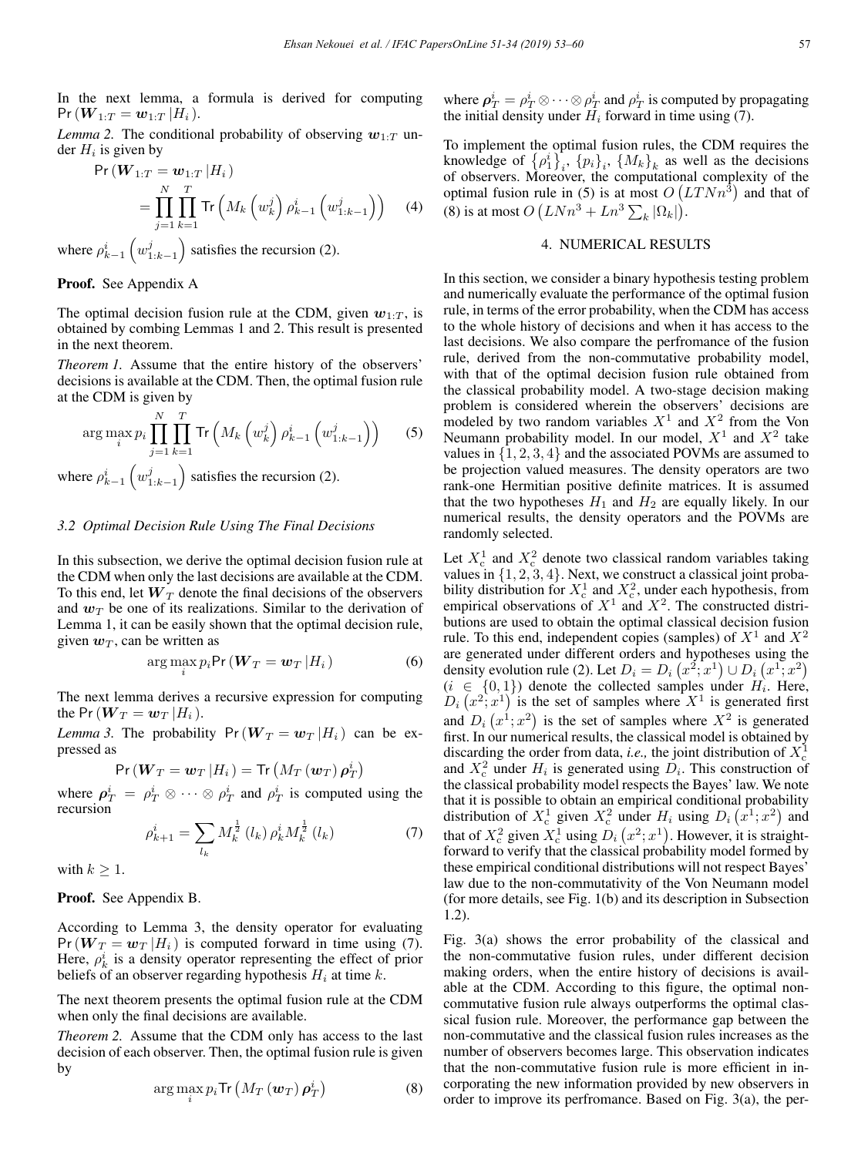In the next lemma, a formula is derived for computing  $Pr(W_{1:T} = w_{1:T} | H_i).$ 

*Lemma 2.* The conditional probability of observing  $w_1$ .  $T$  under  $H_i$  is given by

$$
\Pr(W_{1:T} = \mathbf{w}_{1:T} | H_i) \n= \prod_{j=1}^{N} \prod_{k=1}^{T} \text{Tr}\left(M_k \left(w_k^j\right) \rho_{k-1}^i \left(w_{1:k-1}^j\right)\right)
$$
(4)

where  $\rho^i_{k-1}$  $\Big(w_{{1:k-1}}^j$ ) satisfies the recursion (2).

#### Proof. See Appendix A

The optimal decision fusion rule at the CDM, given  $w_{1:T}$ , is obtained by combing Lemmas 1 and 2. This result is presented in the next theorem.

*Theorem 1.* Assume that the entire history of the observers' decisions is available at the CDM. Then, the optimal fusion rule at the CDM is given by

$$
\arg \max_{i} p_i \prod_{j=1}^{N} \prod_{k=1}^{T} \text{Tr}\left(M_k \left(w_k^j\right) \rho_{k-1}^i \left(w_{1:k-1}^j\right)\right) \tag{5}
$$

where  $\rho^i_{k-1}$  $\Big(w_{1:k-1}^j$ ) satisfies the recursion  $(2)$ .

# *3.2 Optimal Decision Rule Using The Final Decisions*

In this subsection, we derive the optimal decision fusion rule at the CDM when only the last decisions are available at the CDM. To this end, let  $W_T$  denote the final decisions of the observers and  $w_T$  be one of its realizations. Similar to the derivation of Lemma 1, it can be easily shown that the optimal decision rule, given  $w_T$ , can be written as

$$
\arg\max_{i} p_i \Pr\left(\boldsymbol{W}_T = \boldsymbol{w}_T \, | H_i\right) \tag{6}
$$

The next lemma derives a recursive expression for computing the Pr( $W_T = w_T |H_i$ ).

*Lemma 3.* The probability  $Pr(W_T = w_T | H_i)$  can be expressed as

$$
\mathsf{Pr}\left(\boldsymbol{W}_{T}=\boldsymbol{w}_{T}\left|H_{i}\right.\right)=\mathsf{Tr}\left(M_{T}\left(\boldsymbol{w}_{T}\right)\boldsymbol{\rho}_{T}^{i}\right)
$$

where  $\rho_T^i = \rho_T^i \otimes \cdots \otimes \rho_T^i$  and  $\rho_T^i$  is computed using the recursion

$$
\rho_{k+1}^{i} = \sum_{l_k} M_k^{\frac{1}{2}}(l_k) \,\rho_k^{i} M_k^{\frac{1}{2}}(l_k) \tag{7}
$$

with  $k \geq 1$ .

Proof. See Appendix B.

According to Lemma 3, the density operator for evaluating  $Pr(W_T = w_T | H_i)$  is computed forward in time using (7). Here,  $\rho_k^i$  is a density operator representing the effect of prior beliefs of an observer regarding hypothesis  $H_i$  at time  $k$ .

The next theorem presents the optimal fusion rule at the CDM when only the final decisions are available.

*Theorem 2.* Assume that the CDM only has access to the last decision of each observer. Then, the optimal fusion rule is given by

$$
\arg\max_{i} p_i \text{Tr}\left(M_T\left(\boldsymbol{w}_T\right)\boldsymbol{\rho}_T^i\right) \tag{8}
$$

where  $\rho_T^i = \rho_T^i \otimes \cdots \otimes \rho_T^i$  and  $\rho_T^i$  is computed by propagating the initial density under  $H_i$  forward in time using (7).

To implement the optimal fusion rules, the CDM requires the knowledge of  $\{\rho_1^i\}_i$ ,  $\{p_i\}_i$ ,  $\{M_k\}_k$  as well as the decisions of observers. Moreover, the computational complexity of the optimal fusion rule in (5) is at most  $O(LT N n^3)$  and that of (8) is at most  $O(LNn^3 + Ln^3 \sum_k |\Omega_k|).$ 

# 4. NUMERICAL RESULTS

In this section, we consider a binary hypothesis testing problem and numerically evaluate the performance of the optimal fusion rule, in terms of the error probability, when the CDM has access to the whole history of decisions and when it has access to the last decisions. We also compare the perfromance of the fusion rule, derived from the non-commutative probability model, with that of the optimal decision fusion rule obtained from the classical probability model. A two-stage decision making problem is considered wherein the observers' decisions are modeled by two random variables  $X^1$  and  $X^2$  from the Von Neumann probability model. In our model,  $X^1$  and  $X^2$  take values in {1, 2, 3, 4} and the associated POVMs are assumed to be projection valued measures. The density operators are two rank-one Hermitian positive definite matrices. It is assumed that the two hypotheses  $H_1$  and  $H_2$  are equally likely. In our numerical results, the density operators and the POVMs are randomly selected.

Let  $X_c^1$  and  $X_c^2$  denote two classical random variables taking values in  $\{1, 2, 3, 4\}$ . Next, we construct a classical joint probability distribution for  $X_c^1$  and  $X_c^2$ , under each hypothesis, from empirical observations of  $X^1$  and  $X^2$ . The constructed distributions are used to obtain the optimal classical decision fusion rule. To this end, independent copies (samples) of  $X<sup>1</sup>$  and  $X<sup>2</sup>$ are generated under different orders and hypotheses using the density evolution rule (2). Let  $D_i = D_i (x^2; x^1) \cup D_i (x^1; x^2)$  $(i \in \{0,1\})$  denote the collected samples under  $H_i$ . Here,  $D_i(x^2; x^1)$  is the set of samples where  $X^1$  is generated first and  $D_i(x^1; x^2)$  is the set of samples where  $X^2$  is generated first. In our numerical results, the classical model is obtained by discarding the order from data, *i.e.*, the joint distribution of  $X_c^1$ and  $X_c^2$  under  $H_i$  is generated using  $D_i$ . This construction of the classical probability model respects the Bayes' law. We note that it is possible to obtain an empirical conditional probability distribution of  $X_c^1$  given  $X_c^2$  under  $H_i$  using  $D_i(x^1; x^2)$  and that of  $X_c^2$  given  $X_c^1$  using  $D_i(x^2; x^1)$ . However, it is straightforward to verify that the classical probability model formed by these empirical conditional distributions will not respect Bayes' law due to the non-commutativity of the Von Neumann model (for more details, see Fig. 1(b) and its description in Subsection 1.2).

Fig. 3(a) shows the error probability of the classical and the non-commutative fusion rules, under different decision making orders, when the entire history of decisions is available at the CDM. According to this figure, the optimal noncommutative fusion rule always outperforms the optimal classical fusion rule. Moreover, the performance gap between the non-commutative and the classical fusion rules increases as the number of observers becomes large. This observation indicates that the non-commutative fusion rule is more efficient in incorporating the new information provided by new observers in order to improve its perfromance. Based on Fig. 3(a), the per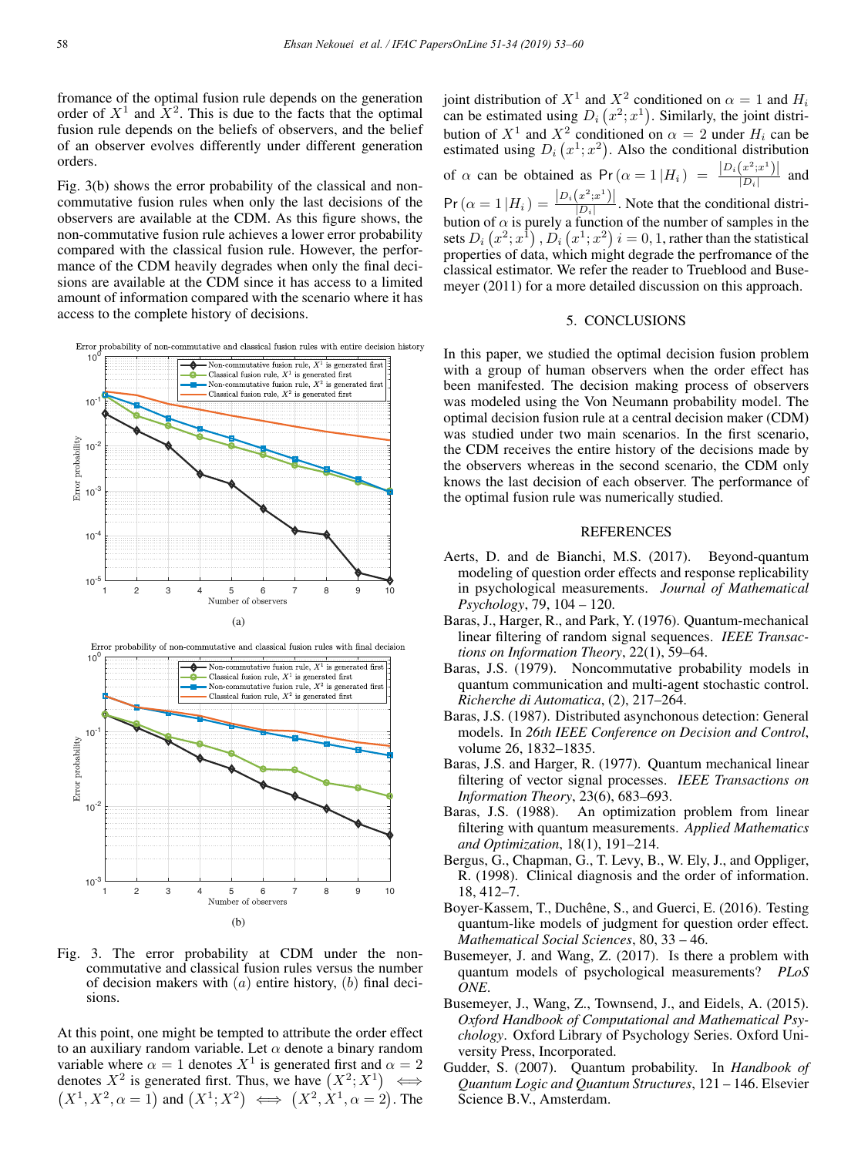fromance of the optimal fusion rule depends on the generation order of  $X^1$  and  $X^2$ . This is due to the facts that the optimal fusion rule depends on the beliefs of observers, and the belief of an observer evolves differently under different generation orders.

Fig. 3(b) shows the error probability of the classical and noncommutative fusion rules when only the last decisions of the observers are available at the CDM. As this figure shows, the non-commutative fusion rule achieves a lower error probability compared with the classical fusion rule. However, the performance of the CDM heavily degrades when only the final decisions are available at the CDM since it has access to a limited amount of information compared with the scenario where it has access to the complete history of decisions.









Fig. 3. The error probability at CDM under the noncommutative and classical fusion rules versus the number of decision makers with  $(a)$  entire history,  $(b)$  final decisions.

At this point, one might be tempted to attribute the order effect to an auxiliary random variable. Let  $\alpha$  denote a binary random variable where  $\alpha = 1$  denotes  $X^1$  is generated first and  $\alpha = 2$ denotes  $X^2$  is generated first. Thus, we have  $(X^2; X^1) \iff$  $(X^1, X^2, \alpha = 1)$  and  $(X^1; X^2) \iff (X^2, X^1, \alpha = 2)$ . The

joint distribution of  $X^1$  and  $X^2$  conditioned on  $\alpha = 1$  and  $H_i$ can be estimated using  $D_i(x^2; x^1)$ . Similarly, the joint distribution of  $X^1$  and  $X^2$  conditioned on  $\alpha = 2$  under  $H_i$  can be estimated using  $D_i(x^1; x^2)$ . Also the conditional distribution of  $\alpha$  can be obtained as  $Pr(\alpha = 1 | H_i) = \frac{|D_i(x^2; x^1)|}{|D_i|}$  and  $Pr(\alpha = 1 | H_i) = \frac{|D_i(x^2; x^1)|}{|D_i|}$ . Note that the conditional distribution of  $\alpha$  is purely a function of the number of samples in the sets  $D_i\left(x^2;x^{\bar{1}}\right), D_i\left(x^1;x^2\right)$   $i=0,1,$  rather than the statistical properties of data, which might degrade the perfromance of the classical estimator. We refer the reader to Trueblood and Busemeyer (2011) for a more detailed discussion on this approach.

# 5. CONCLUSIONS

In this paper, we studied the optimal decision fusion problem with a group of human observers when the order effect has been manifested. The decision making process of observers was modeled using the Von Neumann probability model. The optimal decision fusion rule at a central decision maker (CDM) was studied under two main scenarios. In the first scenario, the CDM receives the entire history of the decisions made by the observers whereas in the second scenario, the CDM only knows the last decision of each observer. The performance of the optimal fusion rule was numerically studied.

### REFERENCES

- Aerts, D. and de Bianchi, M.S. (2017). Beyond-quantum modeling of question order effects and response replicability in psychological measurements. *Journal of Mathematical Psychology*, 79, 104 – 120.
- Baras, J., Harger, R., and Park, Y. (1976). Quantum-mechanical linear filtering of random signal sequences. *IEEE Transactions on Information Theory*, 22(1), 59–64.
- Baras, J.S. (1979). Noncommutative probability models in quantum communication and multi-agent stochastic control. *Richerche di Automatica*, (2), 217–264.
- Baras, J.S. (1987). Distributed asynchonous detection: General models. In *26th IEEE Conference on Decision and Control*, volume 26, 1832–1835.
- Baras, J.S. and Harger, R. (1977). Quantum mechanical linear filtering of vector signal processes. *IEEE Transactions on Information Theory*, 23(6), 683–693.
- Baras, J.S. (1988). An optimization problem from linear filtering with quantum measurements. *Applied Mathematics and Optimization*, 18(1), 191–214.
- Bergus, G., Chapman, G., T. Levy, B., W. Ely, J., and Oppliger, R. (1998). Clinical diagnosis and the order of information. 18, 412–7.
- Boyer-Kassem, T., Duchêne, S., and Guerci, E. (2016). Testing quantum-like models of judgment for question order effect. *Mathematical Social Sciences*, 80, 33 – 46.
- Busemeyer, J. and Wang, Z. (2017). Is there a problem with quantum models of psychological measurements? *PLoS ONE*.
- Busemeyer, J., Wang, Z., Townsend, J., and Eidels, A. (2015). *Oxford Handbook of Computational and Mathematical Psychology*. Oxford Library of Psychology Series. Oxford University Press, Incorporated.
- Gudder, S. (2007). Quantum probability. In *Handbook of Quantum Logic and Quantum Structures*, 121 – 146. Elsevier Science B.V., Amsterdam.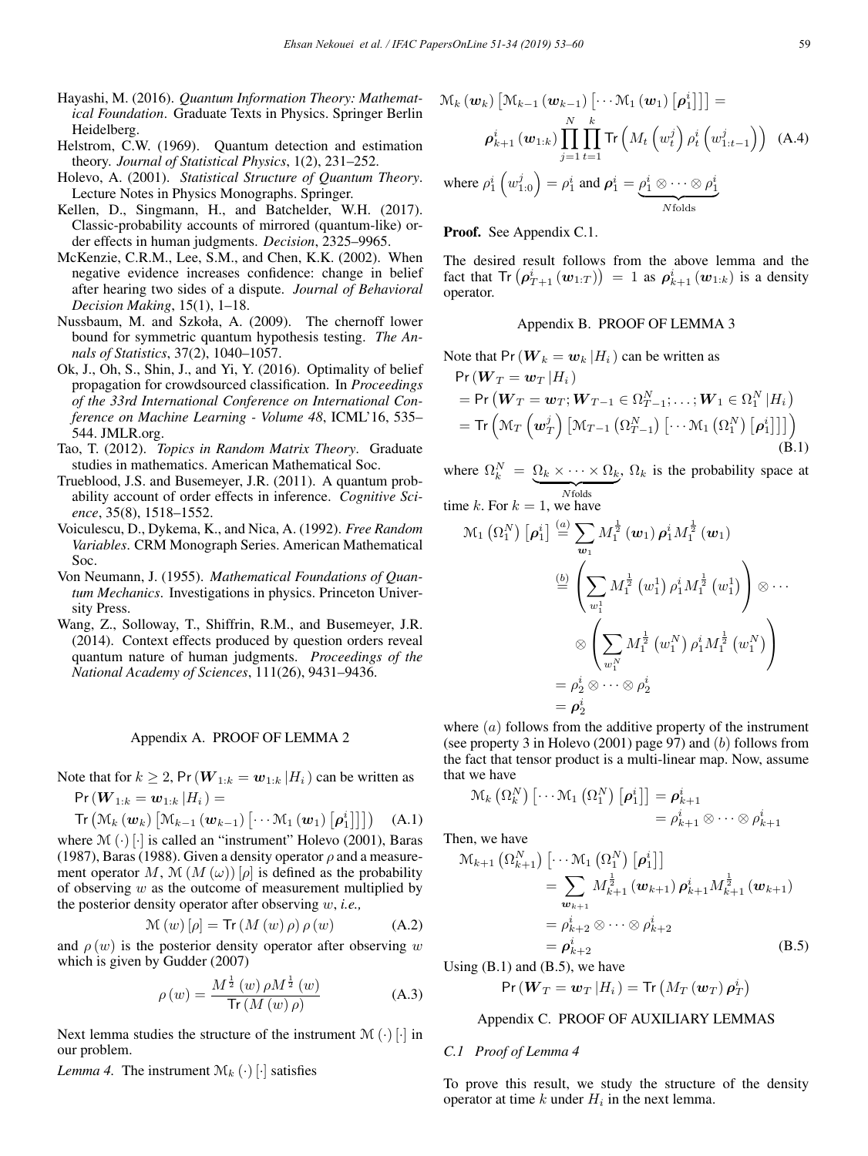- Hayashi, M. (2016). *Quantum Information Theory: Mathematical Foundation*. Graduate Texts in Physics. Springer Berlin Heidelberg.
- Helstrom, C.W. (1969). Quantum detection and estimation theory. *Journal of Statistical Physics*, 1(2), 231–252.
- Holevo, A. (2001). *Statistical Structure of Quantum Theory*. Lecture Notes in Physics Monographs. Springer.
- Kellen, D., Singmann, H., and Batchelder, W.H. (2017). Classic-probability accounts of mirrored (quantum-like) order effects in human judgments. *Decision*, 2325–9965.
- McKenzie, C.R.M., Lee, S.M., and Chen, K.K. (2002). When negative evidence increases confidence: change in belief after hearing two sides of a dispute. *Journal of Behavioral Decision Making*, 15(1), 1–18.
- Nussbaum, M. and Szkoła, A. (2009). The chernoff lower bound for symmetric quantum hypothesis testing. *The Annals of Statistics*, 37(2), 1040–1057.
- Ok, J., Oh, S., Shin, J., and Yi, Y. (2016). Optimality of belief propagation for crowdsourced classification. In *Proceedings of the 33rd International Conference on International Conference on Machine Learning - Volume 48*, ICML'16, 535– 544. JMLR.org.
- Tao, T. (2012). *Topics in Random Matrix Theory*. Graduate studies in mathematics. American Mathematical Soc.
- Trueblood, J.S. and Busemeyer, J.R. (2011). A quantum probability account of order effects in inference. *Cognitive Science*, 35(8), 1518–1552.
- Voiculescu, D., Dykema, K., and Nica, A. (1992). *Free Random Variables*. CRM Monograph Series. American Mathematical Soc.
- Von Neumann, J. (1955). *Mathematical Foundations of Quantum Mechanics*. Investigations in physics. Princeton University Press.
- Wang, Z., Solloway, T., Shiffrin, R.M., and Busemeyer, J.R. (2014). Context effects produced by question orders reveal quantum nature of human judgments. *Proceedings of the National Academy of Sciences*, 111(26), 9431–9436.

### Appendix A. PROOF OF LEMMA 2

Note that for  $k \geq 2$ , Pr  $(\boldsymbol{W}_{1:k} = \boldsymbol{w}_{1:k} | H_i)$  can be written as  $Pr(W_{1:k} = w_{1:k} | H_i) =$ 

$$
\mathsf{Tr}\left(\mathcal{M}_k\left(\boldsymbol{w}_k\right)\left[\mathcal{M}_{k-1}\left(\boldsymbol{w}_{k-1}\right)\left[\cdots\mathcal{M}_1\left(\boldsymbol{w}_1\right)\left[\boldsymbol{\rho}_1^i\right]\right]\right]\right) \quad \ \ \text{(A.1)}
$$

where  $\mathcal{M}(\cdot)$  [·] is called an "instrument" Holevo (2001), Baras (1987), Baras (1988). Given a density operator  $\rho$  and a measurement operator M, M  $(M(\omega))[\rho]$  is defined as the probability of observing  $w$  as the outcome of measurement multiplied by the posterior density operator after observing w, *i.e.,*

$$
\mathcal{M}(w)[\rho] = \text{Tr}(M(w)\rho)\rho(w) \tag{A.2}
$$

and  $\rho(w)$  is the posterior density operator after observing w which is given by Gudder (2007)

$$
\rho(w) = \frac{M^{\frac{1}{2}}(w)\,\rho M^{\frac{1}{2}}(w)}{\operatorname{Tr}\left(M\left(w\right)\rho\right)}\tag{A.3}
$$

Next lemma studies the structure of the instrument  $\mathcal{M}(\cdot)$  [·] in our problem.

*Lemma 4.* The instrument  $\mathcal{M}_k(\cdot)$  [·] satisfies

$$
\mathcal{M}_{k} (\boldsymbol{w}_{k}) \left[ \mathcal{M}_{k-1} (\boldsymbol{w}_{k-1}) \left[ \cdots \mathcal{M}_{1} (\boldsymbol{w}_{1}) \left[ \boldsymbol{\rho}_{1}^{i} \right] \right] \right] =
$$
\n
$$
\boldsymbol{\rho}_{k+1}^{i} (\boldsymbol{w}_{1:k}) \prod_{j=1}^{N} \prod_{t=1}^{k} \text{Tr} \left( M_{t} \left( w_{t}^{j} \right) \rho_{t}^{i} \left( w_{1:t-1}^{j} \right) \right) \tag{A.4}
$$
\nwhere  $\rho_{1}^{i} \left( w_{1:0}^{j} \right) = \rho_{1}^{i}$  and  $\boldsymbol{\rho}_{1}^{i} = \underbrace{\rho_{1}^{i} \otimes \cdots \otimes \rho_{1}^{i}}_{N \text{ folds}}$ 

### Proof. See Appendix C.1.

The desired result follows from the above lemma and the fact that  $\text{Tr} \left( \rho_{T+1}^i \left( \boldsymbol{w}_{1:T} \right) \right) = 1$  as  $\rho_{k+1}^i \left( \boldsymbol{w}_{1:k} \right)$  is a density operator.

### Appendix B. PROOF OF LEMMA 3

Note that 
$$
Pr(W_k = w_k | H_i)
$$
 can be written as  $Pr(W_k = w_k | H_i)$ 

$$
= \Pr\left(\boldsymbol{W}_T = \boldsymbol{w}_T; \boldsymbol{W}_{T-1} \in \Omega_{T-1}^N; \dots; \boldsymbol{W}_1 \in \Omega_1^N | H_i\right)
$$
  
= 
$$
\text{Tr}\left(\mathcal{M}_T \left(\boldsymbol{w}_T^j\right) \left[\mathcal{M}_{T-1} \left(\Omega_{T-1}^N\right) \left[\cdots \mathcal{M}_1 \left(\Omega_1^N\right) \left[\boldsymbol{\rho}_1^i\right]\right]\right]\right)
$$
  
(B.1)

where  $\Omega_k^N = \underbrace{\Omega_k \times \cdots \times \Omega_k}_{N \text{folds}}, \Omega_k$  is the probability space at

time k. For 
$$
k = 1
$$
, we have

$$
\mathcal{M}_1\left(\Omega_1^N\right)\left[\rho_1^i\right] \stackrel{(a)}{=} \sum_{\mathbf{w}_1} M_1^{\frac{1}{2}}\left(\mathbf{w}_1\right)\rho_1^i M_1^{\frac{1}{2}}\left(\mathbf{w}_1\right)
$$
\n
$$
\stackrel{(b)}{=} \left(\sum_{w_1^1} M_1^{\frac{1}{2}}\left(w_1^1\right)\rho_1^i M_1^{\frac{1}{2}}\left(w_1^1\right)\right) \otimes \cdots
$$
\n
$$
\otimes \left(\sum_{w_1^N} M_1^{\frac{1}{2}}\left(w_1^N\right)\rho_1^i M_1^{\frac{1}{2}}\left(w_1^N\right)\right)
$$
\n
$$
= \rho_2^i \otimes \cdots \otimes \rho_2^i
$$
\n
$$
= \rho_2^i
$$

where  $(a)$  follows from the additive property of the instrument (see property 3 in Holevo (2001) page 97) and  $(b)$  follows from the fact that tensor product is a multi-linear map. Now, assume that we have

$$
\mathcal{M}_{k}\left(\Omega_{k}^{N}\right)\left[\cdots\mathcal{M}_{1}\left(\Omega_{1}^{N}\right)\left[\boldsymbol{\rho}_{1}^{i}\right]\right]=\boldsymbol{\rho}_{k+1}^{i}
$$
\n
$$
=\rho_{k+1}^{i}\otimes\cdots\otimes\rho_{k+1}^{i}
$$

Then, we have

$$
\mathcal{M}_{k+1} (\Omega_{k+1}^N) [\cdots \mathcal{M}_1 (\Omega_1^N) [\rho_1^i]]
$$
  
\n
$$
= \sum_{\substack{\boldsymbol{w}_{k+1}}} M_{k+1}^{\frac{1}{2}} (\boldsymbol{w}_{k+1}) \rho_{k+1}^i M_{k+1}^{\frac{1}{2}} (\boldsymbol{w}_{k+1})
$$
  
\n
$$
= \rho_{k+2}^i \otimes \cdots \otimes \rho_{k+2}^i
$$
  
\n
$$
= \rho_{k+2}^i
$$
 (B.5)

Using  $(B.1)$  and  $(B.5)$ , we have

$$
\text{Pr}\left(\boldsymbol{W}_{T}=\boldsymbol{w}_{T}\left|H_{i}\right.\right)=\text{Tr}\left(M_{T}\left(\boldsymbol{w}_{T}\right)\boldsymbol{\rho}_{T}^{i}\right)
$$

# Appendix C. PROOF OF AUXILIARY LEMMAS

#### *C.1 Proof of Lemma 4*

To prove this result, we study the structure of the density operator at time k under  $H_i$  in the next lemma.